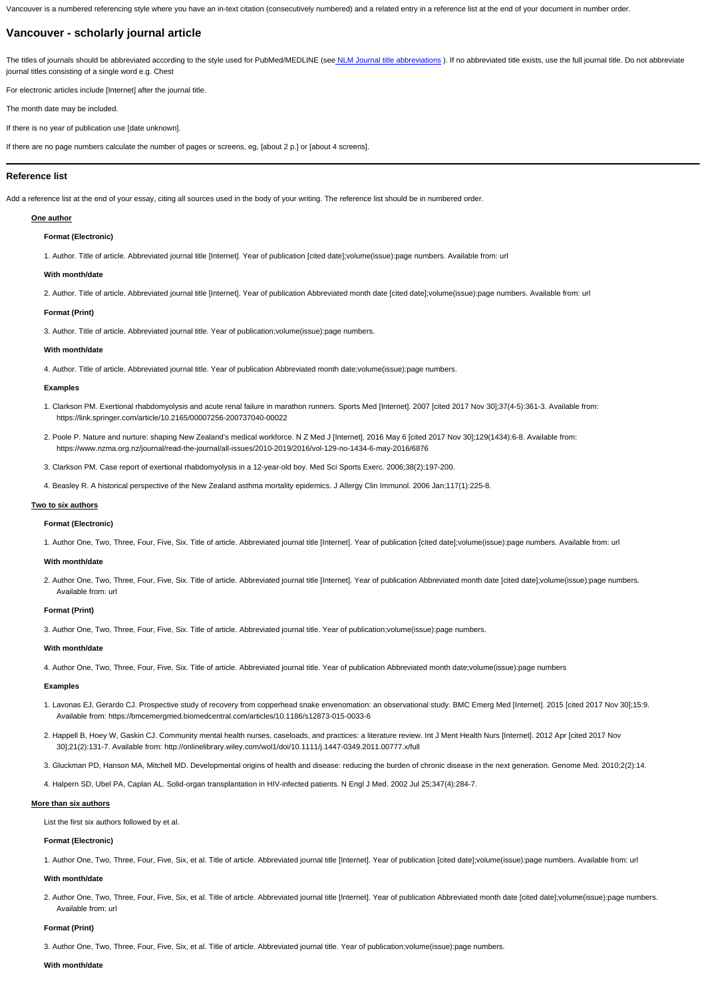Vancouver is a numbered referencing style where you have an in-text citation (consecutively numbered) and a related entry in a reference list at the end of your document in number order.

# **Vancouver - scholarly journal article**

The titles of journals should be abbreviated according to the style used for PubMed/MEDLINE (se[e NLM Journal title abbreviations](https://www.ncbi.nlm.nih.gov/nlmcatalog/journals)). If no abbreviated title exists, use the full journal title. Do not abbreviate journal titles consisting of a single word e.g. Chest

For electronic articles include [Internet] after the journal title.

The month date may be included.

If there is no year of publication use [date unknown].

If there are no page numbers calculate the number of pages or screens, eg, [about 2 p.] or [about 4 screens].

# **Reference list**

Add a reference list at the end of your essay, citing all sources used in the body of your writing. The reference list should be in numbered order.

# **One author**

## **Format (Electronic)**

1. Author. Title of article. Abbreviated journal title [Internet]. Year of publication [cited date];volume(issue):page numbers. Available from: url

## **With month/date**

2. Author. Title of article. Abbreviated journal title [Internet]. Year of publication Abbreviated month date [cited date];volume(issue):page numbers. Available from: url

## **Format (Print)**

3. Author. Title of article. Abbreviated journal title. Year of publication;volume(issue):page numbers.

#### **With month/date**

4. Author. Title of article. Abbreviated journal title. Year of publication Abbreviated month date;volume(issue):page numbers.

#### **Examples**

- 1. Clarkson PM. Exertional rhabdomyolysis and acute renal failure in marathon runners. Sports Med [Internet]. 2007 [cited 2017 Nov 30];37(4-5):361-3. Available from: https://link.springer.com/article/10.2165/00007256-200737040-00022
- 2. Poole P. Nature and nurture: shaping New Zealand's medical workforce. N Z Med J [Internet]. 2016 May 6 [cited 2017 Nov 30];129(1434):6-8. Available from: https://www.nzma.org.nz/journal/read-the-journal/all-issues/2010-2019/2016/vol-129-no-1434-6-may-2016/6876
- 3. Clarkson PM. Case report of exertional rhabdomyolysis in a 12-year-old boy. Med Sci Sports Exerc. 2006;38(2):197-200.
- 4. Beasley R. A historical perspective of the New Zealand asthma mortality epidemics. J Allergy Clin Immunol. 2006 Jan;117(1):225-8.

# **Two to six authors**

# **Format (Electronic)**

1. Author One, Two, Three, Four, Five, Six. Title of article. Abbreviated journal title [Internet]. Year of publication [cited date];volume(issue):page numbers. Available from: url

#### **With month/date**

2. Author One, Two, Three, Four, Five, Six. Title of article. Abbreviated journal title [Internet]. Year of publication Abbreviated month date [cited date];volume(issue):page numbers. Available from: url

# **Format (Print)**

3. Author One, Two, Three, Four, Five, Six. Title of article. Abbreviated journal title. Year of publication;volume(issue):page numbers.

#### **With month/date**

4. Author One, Two, Three, Four, Five, Six. Title of article. Abbreviated journal title. Year of publication Abbreviated month date;volume(issue):page numbers

# **Examples**

- 1. Lavonas EJ, Gerardo CJ. Prospective study of recovery from copperhead snake envenomation: an observational study. BMC Emerg Med [Internet]. 2015 [cited 2017 Nov 30];15:9. Available from: https://bmcemergmed.biomedcentral.com/articles/10.1186/s12873-015-0033-6
- 2. Happell B, Hoey W, Gaskin CJ. Community mental health nurses, caseloads, and practices: a literature review. Int J Ment Health Nurs [Internet]. 2012 Apr [cited 2017 Nov 30];21(2):131-7. Available from: http://onlinelibrary.wiley.com/wol1/doi/10.1111/j.1447-0349.2011.00777.x/full

3. Gluckman PD, Hanson MA, Mitchell MD. Developmental origins of health and disease: reducing the burden of chronic disease in the next generation. Genome Med. 2010;2(2):14.

4. Halpern SD, Ubel PA, Caplan AL. Solid-organ transplantation in HIV-infected patients. N Engl J Med. 2002 Jul 25;347(4):284-7.

#### **More than six authors**

List the first six authors followed by et al.

# **Format (Electronic)**

1. Author One, Two, Three, Four, Five, Six, et al. Title of article. Abbreviated journal title [Internet]. Year of publication [cited date];volume(issue):page numbers. Available from: url

## **With month/date**

2. Author One, Two, Three, Four, Five, Six, et al. Title of article. Abbreviated journal title [Internet]. Year of publication Abbreviated month date [cited date];volume(issue):page numbers. Available from: url

# **Format (Print)**

3. Author One, Two, Three, Four, Five, Six, et al. Title of article. Abbreviated journal title. Year of publication;volume(issue):page numbers.

## **With month/date**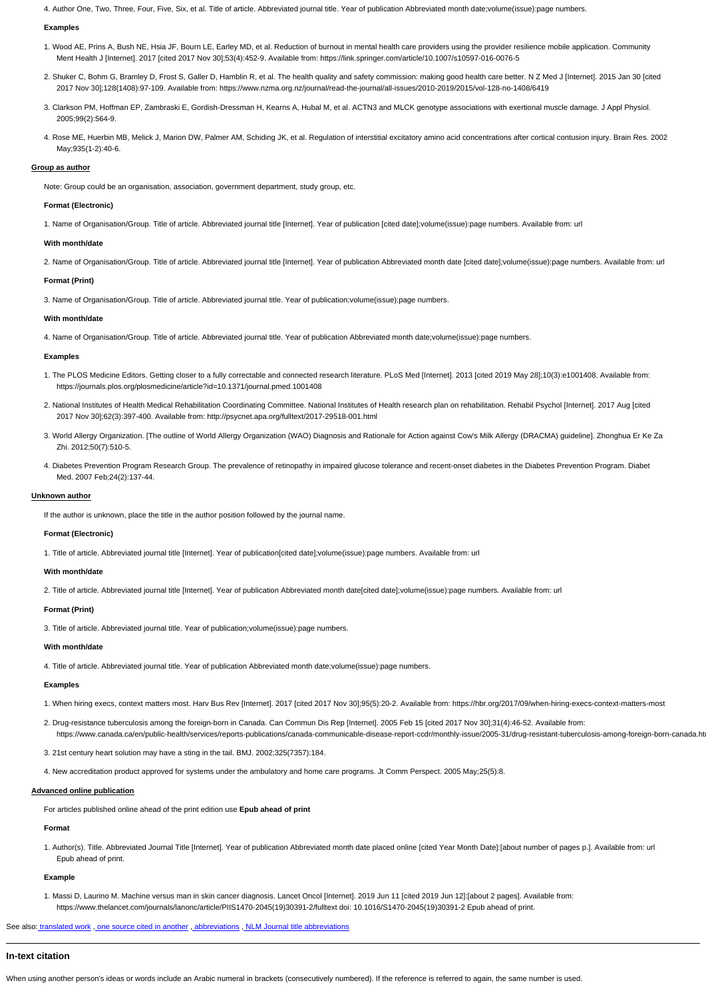4. Author One, Two, Three, Four, Five, Six, et al. Title of article. Abbreviated journal title. Year of publication Abbreviated month date;volume(issue):page numbers.

## **Examples**

- 1. Wood AE, Prins A, Bush NE, Hsia JF, Bourn LE, Earley MD, et al. Reduction of burnout in mental health care providers using the provider resilience mobile application. Community Ment Health J [Internet]. 2017 [cited 2017 Nov 30];53(4):452-9. Available from: https://link.springer.com/article/10.1007/s10597-016-0076-5
- 2. Shuker C, Bohm G, Bramley D, Frost S, Galler D, Hamblin R, et al. The health quality and safety commission: making good health care better. N Z Med J [Internet]. 2015 Jan 30 [cited 2017 Nov 30];128(1408):97-109. Available from: https://www.nzma.org.nz/journal/read-the-journal/all-issues/2010-2019/2015/vol-128-no-1408/6419
- 3. Clarkson PM, Hoffman EP, Zambraski E, Gordish-Dressman H, Kearns A, Hubal M, et al. ACTN3 and MLCK genotype associations with exertional muscle damage. J Appl Physiol. 2005;99(2):564-9.
- 4. Rose ME, Huerbin MB, Melick J, Marion DW, Palmer AM, Schiding JK, et al. Regulation of interstitial excitatory amino acid concentrations after cortical contusion injury. Brain Res. 2002 May;935(1-2):40-6.

## **Group as author**

Note: Group could be an organisation, association, government department, study group, etc.

## **Format (Electronic)**

1. Name of Organisation/Group. Title of article. Abbreviated journal title [Internet]. Year of publication [cited date];volume(issue):page numbers. Available from: url

#### **With month/date**

2. Name of Organisation/Group. Title of article. Abbreviated journal title [Internet]. Year of publication Abbreviated month date [cited date];volume(issue):page numbers. Available from: url

#### **Format (Print)**

3. Name of Organisation/Group. Title of article. Abbreviated journal title. Year of publication;volume(issue):page numbers.

#### **With month/date**

2. Drug-resistance tuberculosis among the foreign-born in Canada. Can Commun Dis Rep [Internet]. 2005 Feb 15 [cited 2017 Nov 30];31(4):46-52. Available from: https://www.canada.ca/en/public-health/services/reports-publications/canada-communicable-disease-report-ccdr/monthly-issue/2005-31/drug-resistant-tuberculosis-among-foreign-born-canada.ht

4. Name of Organisation/Group. Title of article. Abbreviated journal title. Year of publication Abbreviated month date;volume(issue):page numbers.

#### **Examples**

- 1. The PLOS Medicine Editors. Getting closer to a fully correctable and connected research literature. PLoS Med [Internet]. 2013 [cited 2019 May 28];10(3):e1001408. Available from: https://journals.plos.org/plosmedicine/article?id=10.1371/journal.pmed.1001408
- 2. National Institutes of Health Medical Rehabilitation Coordinating Committee. National Institutes of Health research plan on rehabilitation. Rehabil Psychol [Internet]. 2017 Aug [cited 2017 Nov 30];62(3):397-400. Available from: http://psycnet.apa.org/fulltext/2017-29518-001.html
- 3. World Allergy Organization. [The outline of World Allergy Organization (WAO) Diagnosis and Rationale for Action against Cow's Milk Allergy (DRACMA) guideline]. Zhonghua Er Ke Za Zhi. 2012;50(7):510-5.
- 4. Diabetes Prevention Program Research Group. The prevalence of retinopathy in impaired glucose tolerance and recent-onset diabetes in the Diabetes Prevention Program. Diabet Med. 2007 Feb;24(2):137-44.

#### **Unknown author**

If the author is unknown, place the title in the author position followed by the journal name.

## **Format (Electronic)**

1. Title of article. Abbreviated journal title [Internet]. Year of publication[cited date];volume(issue):page numbers. Available from: url

## **With month/date**

2. Title of article. Abbreviated journal title [Internet]. Year of publication Abbreviated month date[cited date];volume(issue):page numbers. Available from: url

#### **Format (Print)**

3. Title of article. Abbreviated journal title. Year of publication;volume(issue):page numbers.

#### **With month/date**

4. Title of article. Abbreviated journal title. Year of publication Abbreviated month date;volume(issue):page numbers.

#### **Examples**

1. When hiring execs, context matters most. Harv Bus Rev [Internet]. 2017 [cited 2017 Nov 30];95(5):20-2. Available from: https://hbr.org/2017/09/when-hiring-execs-context-matters-most

3. 21st century heart solution may have a sting in the tail. BMJ. 2002;325(7357):184.

4. New accreditation product approved for systems under the ambulatory and home care programs. Jt Comm Perspect. 2005 May;25(5):8.

#### **Advanced online publication**

For articles published online ahead of the print edition use **Epub ahead of print**

#### **Format**

1. Author(s). Title. Abbreviated Journal Title [Internet]. Year of publication Abbreviated month date placed online [cited Year Month Date]:[about number of pages p.]. Available from: url Epub ahead of print.

#### **Example**

1. Massi D, Laurino M. Machine versus man in skin cancer diagnosis. Lancet Oncol [Internet]. 2019 Jun 11 [cited 2019 Jun 12]:[about 2 pages]. Available from: https://www.thelancet.com/journals/lanonc/article/PIIS1470-2045(19)30391-2/fulltext doi: 10.1016/S1470-2045(19)30391-2 Epub ahead of print.

See also: translated work , one source cited in another , [abbreviations](http://www.cite.auckland.ac.nz/5_3.html) , [NLM Journal title abbreviations](https://www.ncbi.nlm.nih.gov/nlmcatalog/journals)

# **In-text citation**

When using another person's ideas or words include an Arabic numeral in brackets (consecutively numbered). If the reference is referred to again, the same number is used.